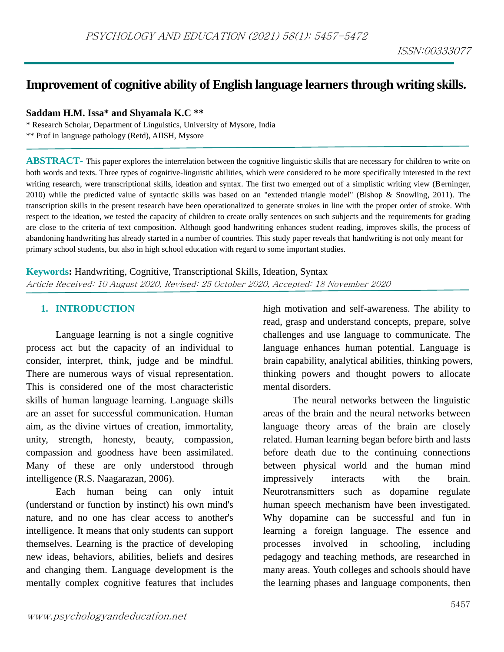# **Improvement of cognitive ability of English language learners through writing skills.**

**Saddam H.M. Issa\* and Shyamala K.C \*\***

\* Research Scholar, Department of Linguistics, University of Mysore, India \*\* Prof in language pathology (Retd), AIISH, Mysore

**ABSTRACT**- This paper explores the interrelation between the cognitive linguistic skills that are necessary for children to write on both words and texts. Three types of cognitive-linguistic abilities, which were considered to be more specifically interested in the text writing research, were transcriptional skills, ideation and syntax. The first two emerged out of a simplistic writing view (Berninger, 2010) while the predicted value of syntactic skills was based on an "extended triangle model" (Bishop & Snowling, 2011). The transcription skills in the present research have been operationalized to generate strokes in line with the proper order of stroke. With respect to the ideation, we tested the capacity of children to create orally sentences on such subjects and the requirements for grading are close to the criteria of text composition. Although good handwriting enhances student reading, improves skills, the process of abandoning handwriting has already started in a number of countries. This study paper reveals that handwriting is not only meant for primary school students, but also in high school education with regard to some important studies.

**Keywords:** Handwriting, Cognitive, Transcriptional Skills, Ideation, Syntax Article Received: 10 August 2020, Revised: 25 October 2020, Accepted: 18 November 2020

#### **1. INTRODUCTION**

Language learning is not a single cognitive process act but the capacity of an individual to consider, interpret, think, judge and be mindful. There are numerous ways of visual representation. This is considered one of the most characteristic skills of human language learning. Language skills are an asset for successful communication. Human aim, as the divine virtues of creation, immortality, unity, strength, honesty, beauty, compassion, compassion and goodness have been assimilated. Many of these are only understood through intelligence (R.S. Naagarazan, 2006).

Each human being can only intuit (understand or function by instinct) his own mind's nature, and no one has clear access to another's intelligence. It means that only students can support themselves. Learning is the practice of developing new ideas, behaviors, abilities, beliefs and desires and changing them. Language development is the mentally complex cognitive features that includes high motivation and self-awareness. The ability to read, grasp and understand concepts, prepare, solve challenges and use language to communicate. The language enhances human potential. Language is brain capability, analytical abilities, thinking powers, thinking powers and thought powers to allocate mental disorders.

The neural networks between the linguistic areas of the brain and the neural networks between language theory areas of the brain are closely related. Human learning began before birth and lasts before death due to the continuing connections between physical world and the human mind impressively interacts with the brain. Neurotransmitters such as dopamine regulate human speech mechanism have been investigated. Why dopamine can be successful and fun in learning a foreign language. The essence and processes involved in schooling, including pedagogy and teaching methods, are researched in many areas. Youth colleges and schools should have the learning phases and language components, then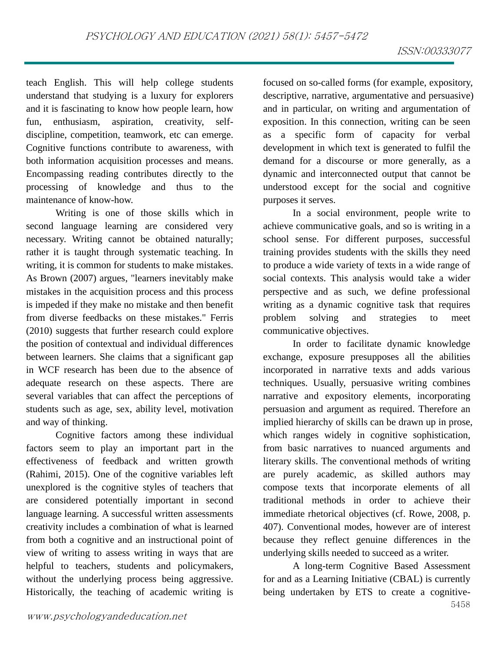teach English. This will help college students understand that studying is a luxury for explorers and it is fascinating to know how people learn, how fun, enthusiasm, aspiration, creativity, selfdiscipline, competition, teamwork, etc can emerge. Cognitive functions contribute to awareness, with both information acquisition processes and means. Encompassing reading contributes directly to the processing of knowledge and thus to the maintenance of know-how.

Writing is one of those skills which in second language learning are considered very necessary. Writing cannot be obtained naturally; rather it is taught through systematic teaching. In writing, it is common for students to make mistakes. As Brown (2007) argues, "learners inevitably make mistakes in the acquisition process and this process is impeded if they make no mistake and then benefit from diverse feedbacks on these mistakes." Ferris (2010) suggests that further research could explore the position of contextual and individual differences between learners. She claims that a significant gap in WCF research has been due to the absence of adequate research on these aspects. There are several variables that can affect the perceptions of students such as age, sex, ability level, motivation and way of thinking.

Cognitive factors among these individual factors seem to play an important part in the effectiveness of feedback and written growth (Rahimi, 2015). One of the cognitive variables left unexplored is the cognitive styles of teachers that are considered potentially important in second language learning. A successful written assessments creativity includes a combination of what is learned from both a cognitive and an instructional point of view of writing to assess writing in ways that are helpful to teachers, students and policymakers, without the underlying process being aggressive. Historically, the teaching of academic writing is

focused on so-called forms (for example, expository, descriptive, narrative, argumentative and persuasive) and in particular, on writing and argumentation of exposition. In this connection, writing can be seen as a specific form of capacity for verbal development in which text is generated to fulfil the demand for a discourse or more generally, as a dynamic and interconnected output that cannot be understood except for the social and cognitive purposes it serves.

In a social environment, people write to achieve communicative goals, and so is writing in a school sense. For different purposes, successful training provides students with the skills they need to produce a wide variety of texts in a wide range of social contexts. This analysis would take a wider perspective and as such, we define professional writing as a dynamic cognitive task that requires problem solving and strategies to meet communicative objectives.

In order to facilitate dynamic knowledge exchange, exposure presupposes all the abilities incorporated in narrative texts and adds various techniques. Usually, persuasive writing combines narrative and expository elements, incorporating persuasion and argument as required. Therefore an implied hierarchy of skills can be drawn up in prose, which ranges widely in cognitive sophistication, from basic narratives to nuanced arguments and literary skills. The conventional methods of writing are purely academic, as skilled authors may compose texts that incorporate elements of all traditional methods in order to achieve their immediate rhetorical objectives (cf. Rowe, 2008, p. 407). Conventional modes, however are of interest because they reflect genuine differences in the underlying skills needed to succeed as a writer.

A long-term Cognitive Based Assessment for and as a Learning Initiative (CBAL) is currently being undertaken by ETS to create a cognitive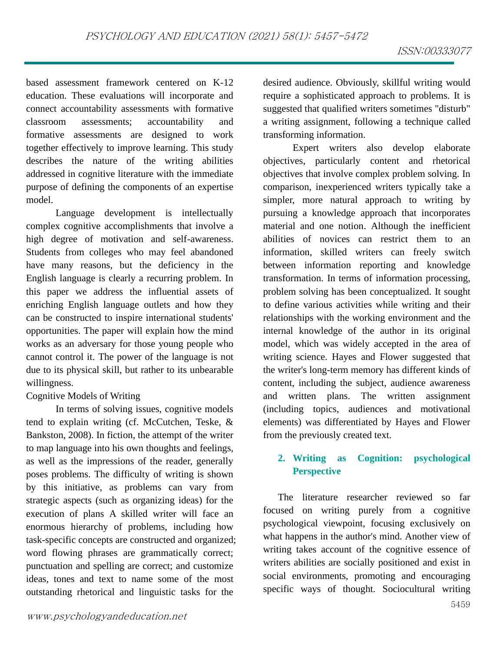based assessment framework centered on K-12 education. These evaluations will incorporate and connect accountability assessments with formative classroom assessments; accountability and formative assessments are designed to work together effectively to improve learning. This study describes the nature of the writing abilities addressed in cognitive literature with the immediate purpose of defining the components of an expertise model.

Language development is intellectually complex cognitive accomplishments that involve a high degree of motivation and self-awareness. Students from colleges who may feel abandoned have many reasons, but the deficiency in the English language is clearly a recurring problem. In this paper we address the influential assets of enriching English language outlets and how they can be constructed to inspire international students' opportunities. The paper will explain how the mind works as an adversary for those young people who cannot control it. The power of the language is not due to its physical skill, but rather to its unbearable willingness.

#### Cognitive Models of Writing

In terms of solving issues, cognitive models tend to explain writing (cf. McCutchen, Teske, & Bankston, 2008). In fiction, the attempt of the writer to map language into his own thoughts and feelings, as well as the impressions of the reader, generally poses problems. The difficulty of writing is shown by this initiative, as problems can vary from strategic aspects (such as organizing ideas) for the execution of plans A skilled writer will face an enormous hierarchy of problems, including how task-specific concepts are constructed and organized; word flowing phrases are grammatically correct; punctuation and spelling are correct; and customize ideas, tones and text to name some of the most outstanding rhetorical and linguistic tasks for the

desired audience. Obviously, skillful writing would require a sophisticated approach to problems. It is suggested that qualified writers sometimes "disturb" a writing assignment, following a technique called transforming information.

Expert writers also develop elaborate objectives, particularly content and rhetorical objectives that involve complex problem solving. In comparison, inexperienced writers typically take a simpler, more natural approach to writing by pursuing a knowledge approach that incorporates material and one notion. Although the inefficient abilities of novices can restrict them to an information, skilled writers can freely switch between information reporting and knowledge transformation. In terms of information processing, problem solving has been conceptualized. It sought to define various activities while writing and their relationships with the working environment and the internal knowledge of the author in its original model, which was widely accepted in the area of writing science. Hayes and Flower suggested that the writer's long-term memory has different kinds of content, including the subject, audience awareness and written plans. The written assignment (including topics, audiences and motivational elements) was differentiated by Hayes and Flower from the previously created text.

## **2. Writing as Cognition: psychological Perspective**

The literature researcher reviewed so far focused on writing purely from a cognitive psychological viewpoint, focusing exclusively on what happens in the author's mind. Another view of writing takes account of the cognitive essence of writers abilities are socially positioned and exist in social environments, promoting and encouraging specific ways of thought. Sociocultural writing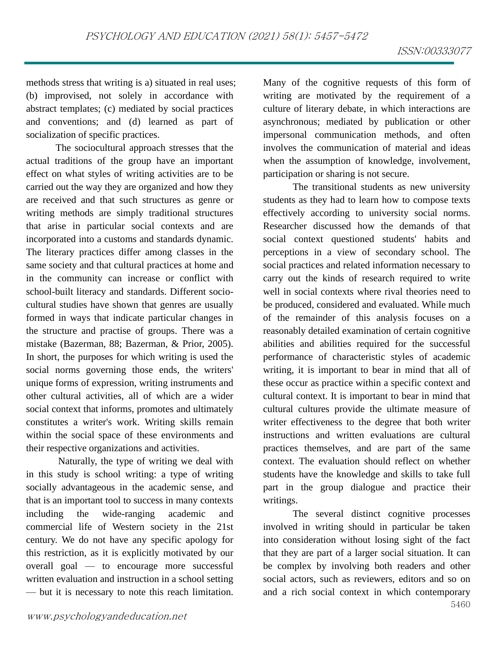methods stress that writing is a) situated in real uses; (b) improvised, not solely in accordance with abstract templates; (c) mediated by social practices and conventions; and (d) learned as part of socialization of specific practices.

The sociocultural approach stresses that the actual traditions of the group have an important effect on what styles of writing activities are to be carried out the way they are organized and how they are received and that such structures as genre or writing methods are simply traditional structures that arise in particular social contexts and are incorporated into a customs and standards dynamic. The literary practices differ among classes in the same society and that cultural practices at home and in the community can increase or conflict with school-built literacy and standards. Different sociocultural studies have shown that genres are usually formed in ways that indicate particular changes in the structure and practise of groups. There was a mistake (Bazerman, 88; Bazerman, & Prior, 2005). In short, the purposes for which writing is used the social norms governing those ends, the writers' unique forms of expression, writing instruments and other cultural activities, all of which are a wider social context that informs, promotes and ultimately constitutes a writer's work. Writing skills remain within the social space of these environments and their respective organizations and activities.

Naturally, the type of writing we deal with in this study is school writing: a type of writing socially advantageous in the academic sense, and that is an important tool to success in many contexts including the wide-ranging academic and commercial life of Western society in the 21st century. We do not have any specific apology for this restriction, as it is explicitly motivated by our overall goal — to encourage more successful written evaluation and instruction in a school setting — but it is necessary to note this reach limitation.

Many of the cognitive requests of this form of writing are motivated by the requirement of a culture of literary debate, in which interactions are asynchronous; mediated by publication or other impersonal communication methods, and often involves the communication of material and ideas when the assumption of knowledge, involvement, participation or sharing is not secure.

The transitional students as new university students as they had to learn how to compose texts effectively according to university social norms. Researcher discussed how the demands of that social context questioned students' habits and perceptions in a view of secondary school. The social practices and related information necessary to carry out the kinds of research required to write well in social contexts where rival theories need to be produced, considered and evaluated. While much of the remainder of this analysis focuses on a reasonably detailed examination of certain cognitive abilities and abilities required for the successful performance of characteristic styles of academic writing, it is important to bear in mind that all of these occur as practice within a specific context and cultural context. It is important to bear in mind that cultural cultures provide the ultimate measure of writer effectiveness to the degree that both writer instructions and written evaluations are cultural practices themselves, and are part of the same context. The evaluation should reflect on whether students have the knowledge and skills to take full part in the group dialogue and practice their writings.

5460 The several distinct cognitive processes involved in writing should in particular be taken into consideration without losing sight of the fact that they are part of a larger social situation. It can be complex by involving both readers and other social actors, such as reviewers, editors and so on and a rich social context in which contemporary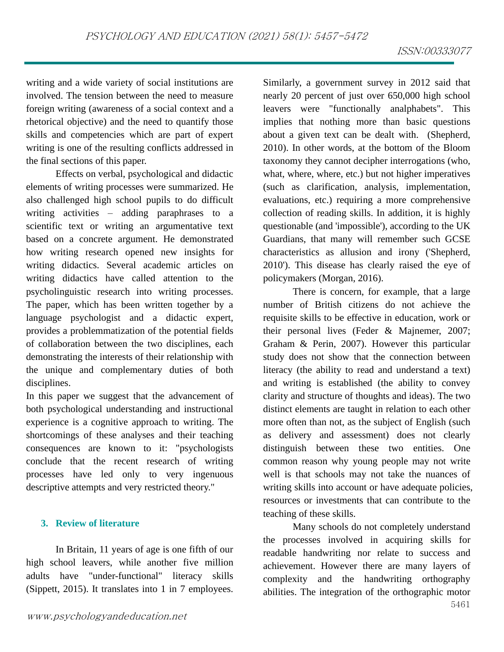writing and a wide variety of social institutions are involved. The tension between the need to measure foreign writing (awareness of a social context and a rhetorical objective) and the need to quantify those skills and competencies which are part of expert writing is one of the resulting conflicts addressed in the final sections of this paper.

Effects on verbal, psychological and didactic elements of writing processes were summarized. He also challenged high school pupils to do difficult writing activities – adding paraphrases to a scientific text or writing an argumentative text based on a concrete argument. He demonstrated how writing research opened new insights for writing didactics. Several academic articles on writing didactics have called attention to the psycholinguistic research into writing processes. The paper, which has been written together by a language psychologist and a didactic expert, provides a problemmatization of the potential fields of collaboration between the two disciplines, each demonstrating the interests of their relationship with the unique and complementary duties of both disciplines.

In this paper we suggest that the advancement of both psychological understanding and instructional experience is a cognitive approach to writing. The shortcomings of these analyses and their teaching consequences are known to it: "psychologists conclude that the recent research of writing processes have led only to very ingenuous descriptive attempts and very restricted theory."

#### **3. Review of literature**

In Britain, 11 years of age is one fifth of our high school leavers, while another five million adults have "under-functional" literacy skills (Sippett, 2015). It translates into 1 in 7 employees. Similarly, a government survey in 2012 said that nearly 20 percent of just over 650,000 high school leavers were "functionally analphabets". This implies that nothing more than basic questions about a given text can be dealt with. (Shepherd, 2010). In other words, at the bottom of the Bloom taxonomy they cannot decipher interrogations (who, what, where, where, etc.) but not higher imperatives (such as clarification, analysis, implementation, evaluations, etc.) requiring a more comprehensive collection of reading skills. In addition, it is highly questionable (and 'impossible'), according to the UK Guardians, that many will remember such GCSE characteristics as allusion and irony ('Shepherd, 2010'). This disease has clearly raised the eye of policymakers (Morgan, 2016).

There is concern, for example, that a large number of British citizens do not achieve the requisite skills to be effective in education, work or their personal lives (Feder & Majnemer, 2007; Graham & Perin, 2007). However this particular study does not show that the connection between literacy (the ability to read and understand a text) and writing is established (the ability to convey clarity and structure of thoughts and ideas). The two distinct elements are taught in relation to each other more often than not, as the subject of English (such as delivery and assessment) does not clearly distinguish between these two entities. One common reason why young people may not write well is that schools may not take the nuances of writing skills into account or have adequate policies, resources or investments that can contribute to the teaching of these skills.

Many schools do not completely understand the processes involved in acquiring skills for readable handwriting nor relate to success and achievement. However there are many layers of complexity and the handwriting orthography abilities. The integration of the orthographic motor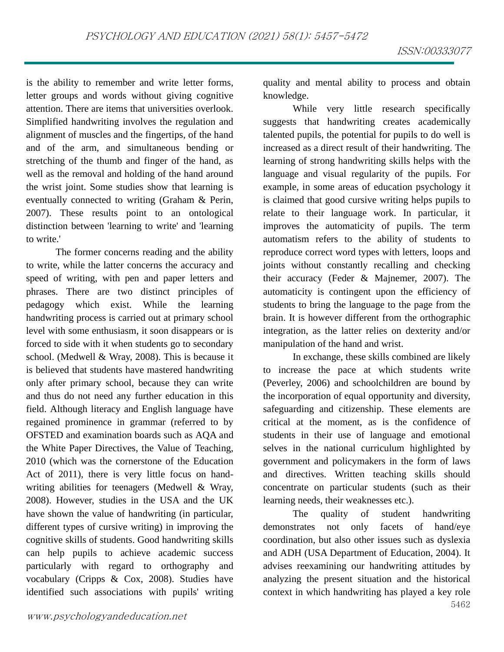is the ability to remember and write letter forms, letter groups and words without giving cognitive attention. There are items that universities overlook. Simplified handwriting involves the regulation and alignment of muscles and the fingertips, of the hand and of the arm, and simultaneous bending or stretching of the thumb and finger of the hand, as well as the removal and holding of the hand around the wrist joint. Some studies show that learning is eventually connected to writing (Graham & Perin, 2007). These results point to an ontological distinction between 'learning to write' and 'learning to write.'

The former concerns reading and the ability to write, while the latter concerns the accuracy and speed of writing, with pen and paper letters and phrases. There are two distinct principles of pedagogy which exist. While the learning handwriting process is carried out at primary school level with some enthusiasm, it soon disappears or is forced to side with it when students go to secondary school. (Medwell & Wray, 2008). This is because it is believed that students have mastered handwriting only after primary school, because they can write and thus do not need any further education in this field. Although literacy and English language have regained prominence in grammar (referred to by OFSTED and examination boards such as AQA and the White Paper Directives, the Value of Teaching, 2010 (which was the cornerstone of the Education Act of 2011), there is very little focus on handwriting abilities for teenagers (Medwell & Wray, 2008). However, studies in the USA and the UK have shown the value of handwriting (in particular, different types of cursive writing) in improving the cognitive skills of students. Good handwriting skills can help pupils to achieve academic success particularly with regard to orthography and vocabulary (Cripps & Cox, 2008). Studies have identified such associations with pupils' writing

quality and mental ability to process and obtain knowledge.

While very little research specifically suggests that handwriting creates academically talented pupils, the potential for pupils to do well is increased as a direct result of their handwriting. The learning of strong handwriting skills helps with the language and visual regularity of the pupils. For example, in some areas of education psychology it is claimed that good cursive writing helps pupils to relate to their language work. In particular, it improves the automaticity of pupils. The term automatism refers to the ability of students to reproduce correct word types with letters, loops and joints without constantly recalling and checking their accuracy (Feder & Majnemer, 2007). The automaticity is contingent upon the efficiency of students to bring the language to the page from the brain. It is however different from the orthographic integration, as the latter relies on dexterity and/or manipulation of the hand and wrist.

In exchange, these skills combined are likely to increase the pace at which students write (Peverley, 2006) and schoolchildren are bound by the incorporation of equal opportunity and diversity, safeguarding and citizenship. These elements are critical at the moment, as is the confidence of students in their use of language and emotional selves in the national curriculum highlighted by government and policymakers in the form of laws and directives. Written teaching skills should concentrate on particular students (such as their learning needs, their weaknesses etc.).

5462 The quality of student handwriting demonstrates not only facets of hand/eye coordination, but also other issues such as dyslexia and ADH (USA Department of Education, 2004). It advises reexamining our handwriting attitudes by analyzing the present situation and the historical context in which handwriting has played a key role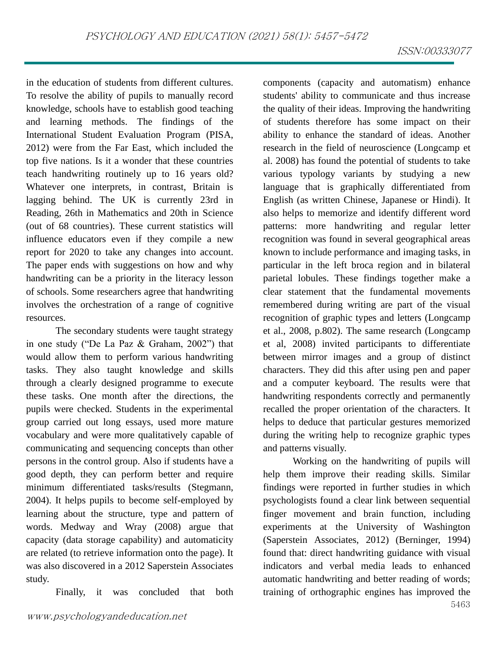in the education of students from different cultures. To resolve the ability of pupils to manually record knowledge, schools have to establish good teaching and learning methods. The findings of the International Student Evaluation Program (PISA, 2012) were from the Far East, which included the top five nations. Is it a wonder that these countries teach handwriting routinely up to 16 years old? Whatever one interprets, in contrast, Britain is lagging behind. The UK is currently 23rd in Reading, 26th in Mathematics and 20th in Science (out of 68 countries). These current statistics will influence educators even if they compile a new report for 2020 to take any changes into account. The paper ends with suggestions on how and why handwriting can be a priority in the literacy lesson of schools. Some researchers agree that handwriting involves the orchestration of a range of cognitive resources.

The secondary students were taught strategy in one study ("De La Paz & Graham, 2002") that would allow them to perform various handwriting tasks. They also taught knowledge and skills through a clearly designed programme to execute these tasks. One month after the directions, the pupils were checked. Students in the experimental group carried out long essays, used more mature vocabulary and were more qualitatively capable of communicating and sequencing concepts than other persons in the control group. Also if students have a good depth, they can perform better and require minimum differentiated tasks/results (Stegmann, 2004). It helps pupils to become self-employed by learning about the structure, type and pattern of words. Medway and Wray (2008) argue that capacity (data storage capability) and automaticity are related (to retrieve information onto the page). It was also discovered in a 2012 Saperstein Associates study.

Finally, it was concluded that both

components (capacity and automatism) enhance students' ability to communicate and thus increase the quality of their ideas. Improving the handwriting of students therefore has some impact on their ability to enhance the standard of ideas. Another research in the field of neuroscience (Longcamp et al. 2008) has found the potential of students to take various typology variants by studying a new language that is graphically differentiated from English (as written Chinese, Japanese or Hindi). It also helps to memorize and identify different word patterns: more handwriting and regular letter recognition was found in several geographical areas known to include performance and imaging tasks, in particular in the left broca region and in bilateral parietal lobules. These findings together make a clear statement that the fundamental movements remembered during writing are part of the visual recognition of graphic types and letters (Longcamp et al., 2008, p.802). The same research (Longcamp et al, 2008) invited participants to differentiate between mirror images and a group of distinct characters. They did this after using pen and paper and a computer keyboard. The results were that handwriting respondents correctly and permanently recalled the proper orientation of the characters. It helps to deduce that particular gestures memorized during the writing help to recognize graphic types and patterns visually.

5463 Working on the handwriting of pupils will help them improve their reading skills. Similar findings were reported in further studies in which psychologists found a clear link between sequential finger movement and brain function, including experiments at the University of Washington (Saperstein Associates, 2012) (Berninger, 1994) found that: direct handwriting guidance with visual indicators and verbal media leads to enhanced automatic handwriting and better reading of words; training of orthographic engines has improved the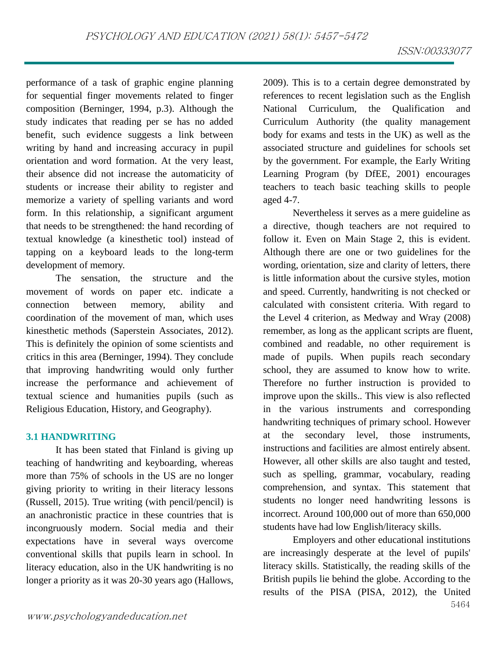performance of a task of graphic engine planning for sequential finger movements related to finger composition (Berninger, 1994, p.3). Although the study indicates that reading per se has no added benefit, such evidence suggests a link between writing by hand and increasing accuracy in pupil orientation and word formation. At the very least, their absence did not increase the automaticity of students or increase their ability to register and memorize a variety of spelling variants and word form. In this relationship, a significant argument that needs to be strengthened: the hand recording of textual knowledge (a kinesthetic tool) instead of tapping on a keyboard leads to the long-term development of memory.

The sensation, the structure and the movement of words on paper etc. indicate a connection between memory, ability and coordination of the movement of man, which uses kinesthetic methods (Saperstein Associates, 2012). This is definitely the opinion of some scientists and critics in this area (Berninger, 1994). They conclude that improving handwriting would only further increase the performance and achievement of textual science and humanities pupils (such as Religious Education, History, and Geography).

#### **3.1 HANDWRITING**

It has been stated that Finland is giving up teaching of handwriting and keyboarding, whereas more than 75% of schools in the US are no longer giving priority to writing in their literacy lessons (Russell, 2015). True writing (with pencil/pencil) is an anachronistic practice in these countries that is incongruously modern. Social media and their expectations have in several ways overcome conventional skills that pupils learn in school. In literacy education, also in the UK handwriting is no longer a priority as it was 20-30 years ago (Hallows,

2009). This is to a certain degree demonstrated by references to recent legislation such as the English National Curriculum, the Qualification and Curriculum Authority (the quality management body for exams and tests in the UK) as well as the associated structure and guidelines for schools set by the government. For example, the Early Writing Learning Program (by DfEE, 2001) encourages teachers to teach basic teaching skills to people aged 4-7.

Nevertheless it serves as a mere guideline as a directive, though teachers are not required to follow it. Even on Main Stage 2, this is evident. Although there are one or two guidelines for the wording, orientation, size and clarity of letters, there is little information about the cursive styles, motion and speed. Currently, handwriting is not checked or calculated with consistent criteria. With regard to the Level 4 criterion, as Medway and Wray (2008) remember, as long as the applicant scripts are fluent, combined and readable, no other requirement is made of pupils. When pupils reach secondary school, they are assumed to know how to write. Therefore no further instruction is provided to improve upon the skills.. This view is also reflected in the various instruments and corresponding handwriting techniques of primary school. However at the secondary level, those instruments, instructions and facilities are almost entirely absent. However, all other skills are also taught and tested, such as spelling, grammar, vocabulary, reading comprehension, and syntax. This statement that students no longer need handwriting lessons is incorrect. Around 100,000 out of more than 650,000 students have had low English/literacy skills.

5464 Employers and other educational institutions are increasingly desperate at the level of pupils' literacy skills. Statistically, the reading skills of the British pupils lie behind the globe. According to the results of the PISA (PISA, 2012), the United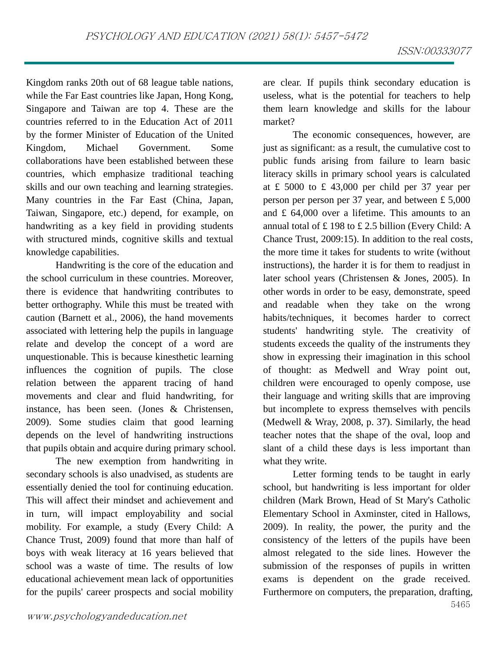Kingdom ranks 20th out of 68 league table nations, while the Far East countries like Japan, Hong Kong, Singapore and Taiwan are top 4. These are the countries referred to in the Education Act of 2011 by the former Minister of Education of the United Kingdom, Michael Government. Some collaborations have been established between these countries, which emphasize traditional teaching skills and our own teaching and learning strategies. Many countries in the Far East (China, Japan, Taiwan, Singapore, etc.) depend, for example, on handwriting as a key field in providing students with structured minds, cognitive skills and textual knowledge capabilities.

Handwriting is the core of the education and the school curriculum in these countries. Moreover, there is evidence that handwriting contributes to better orthography. While this must be treated with caution (Barnett et al., 2006), the hand movements associated with lettering help the pupils in language relate and develop the concept of a word are unquestionable. This is because kinesthetic learning influences the cognition of pupils. The close relation between the apparent tracing of hand movements and clear and fluid handwriting, for instance, has been seen. (Jones & Christensen, 2009). Some studies claim that good learning depends on the level of handwriting instructions that pupils obtain and acquire during primary school.

The new exemption from handwriting in secondary schools is also unadvised, as students are essentially denied the tool for continuing education. This will affect their mindset and achievement and in turn, will impact employability and social mobility. For example, a study (Every Child: A Chance Trust, 2009) found that more than half of boys with weak literacy at 16 years believed that school was a waste of time. The results of low educational achievement mean lack of opportunities for the pupils' career prospects and social mobility

are clear. If pupils think secondary education is useless, what is the potential for teachers to help them learn knowledge and skills for the labour market?

The economic consequences, however, are just as significant: as a result, the cumulative cost to public funds arising from failure to learn basic literacy skills in primary school years is calculated at £ 5000 to £ 43,000 per child per 37 year per person per person per 37 year, and between £ 5,000 and £ 64,000 over a lifetime. This amounts to an annual total of £ 198 to £ 2.5 billion (Every Child: A Chance Trust, 2009:15). In addition to the real costs, the more time it takes for students to write (without instructions), the harder it is for them to readjust in later school years (Christensen & Jones, 2005). In other words in order to be easy, demonstrate, speed and readable when they take on the wrong habits/techniques, it becomes harder to correct students' handwriting style. The creativity of students exceeds the quality of the instruments they show in expressing their imagination in this school of thought: as Medwell and Wray point out, children were encouraged to openly compose, use their language and writing skills that are improving but incomplete to express themselves with pencils (Medwell & Wray, 2008, p. 37). Similarly, the head teacher notes that the shape of the oval, loop and slant of a child these days is less important than what they write.

Letter forming tends to be taught in early school, but handwriting is less important for older children (Mark Brown, Head of St Mary's Catholic Elementary School in Axminster, cited in Hallows, 2009). In reality, the power, the purity and the consistency of the letters of the pupils have been almost relegated to the side lines. However the submission of the responses of pupils in written exams is dependent on the grade received. Furthermore on computers, the preparation, drafting,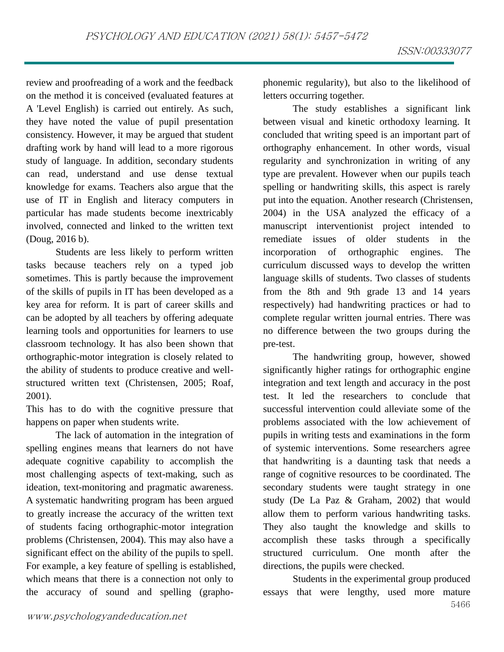review and proofreading of a work and the feedback on the method it is conceived (evaluated features at A 'Level English) is carried out entirely. As such, they have noted the value of pupil presentation consistency. However, it may be argued that student drafting work by hand will lead to a more rigorous study of language. In addition, secondary students can read, understand and use dense textual knowledge for exams. Teachers also argue that the use of IT in English and literacy computers in particular has made students become inextricably involved, connected and linked to the written text (Doug, 2016 b).

Students are less likely to perform written tasks because teachers rely on a typed job sometimes. This is partly because the improvement of the skills of pupils in IT has been developed as a key area for reform. It is part of career skills and can be adopted by all teachers by offering adequate learning tools and opportunities for learners to use classroom technology. It has also been shown that orthographic-motor integration is closely related to the ability of students to produce creative and wellstructured written text (Christensen, 2005; Roaf, 2001).

This has to do with the cognitive pressure that happens on paper when students write.

The lack of automation in the integration of spelling engines means that learners do not have adequate cognitive capability to accomplish the most challenging aspects of text-making, such as ideation, text-monitoring and pragmatic awareness. A systematic handwriting program has been argued to greatly increase the accuracy of the written text of students facing orthographic-motor integration problems (Christensen, 2004). This may also have a significant effect on the ability of the pupils to spell. For example, a key feature of spelling is established, which means that there is a connection not only to the accuracy of sound and spelling (graphophonemic regularity), but also to the likelihood of letters occurring together.

The study establishes a significant link between visual and kinetic orthodoxy learning. It concluded that writing speed is an important part of orthography enhancement. In other words, visual regularity and synchronization in writing of any type are prevalent. However when our pupils teach spelling or handwriting skills, this aspect is rarely put into the equation. Another research (Christensen, 2004) in the USA analyzed the efficacy of a manuscript interventionist project intended to remediate issues of older students in the incorporation of orthographic engines. The curriculum discussed ways to develop the written language skills of students. Two classes of students from the 8th and 9th grade 13 and 14 years respectively) had handwriting practices or had to complete regular written journal entries. There was no difference between the two groups during the pre-test.

The handwriting group, however, showed significantly higher ratings for orthographic engine integration and text length and accuracy in the post test. It led the researchers to conclude that successful intervention could alleviate some of the problems associated with the low achievement of pupils in writing tests and examinations in the form of systemic interventions. Some researchers agree that handwriting is a daunting task that needs a range of cognitive resources to be coordinated. The secondary students were taught strategy in one study (De La Paz & Graham, 2002) that would allow them to perform various handwriting tasks. They also taught the knowledge and skills to accomplish these tasks through a specifically structured curriculum. One month after the directions, the pupils were checked.

Students in the experimental group produced essays that were lengthy, used more mature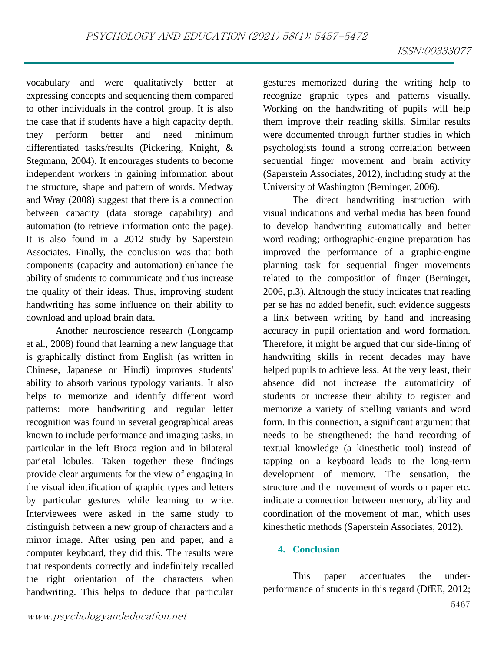vocabulary and were qualitatively better at expressing concepts and sequencing them compared to other individuals in the control group. It is also the case that if students have a high capacity depth, they perform better and need minimum differentiated tasks/results (Pickering, Knight, & Stegmann, 2004). It encourages students to become independent workers in gaining information about the structure, shape and pattern of words. Medway and Wray (2008) suggest that there is a connection between capacity (data storage capability) and automation (to retrieve information onto the page). It is also found in a 2012 study by Saperstein Associates. Finally, the conclusion was that both components (capacity and automation) enhance the ability of students to communicate and thus increase the quality of their ideas. Thus, improving student handwriting has some influence on their ability to download and upload brain data.

Another neuroscience research (Longcamp et al., 2008) found that learning a new language that is graphically distinct from English (as written in Chinese, Japanese or Hindi) improves students' ability to absorb various typology variants. It also helps to memorize and identify different word patterns: more handwriting and regular letter recognition was found in several geographical areas known to include performance and imaging tasks, in particular in the left Broca region and in bilateral parietal lobules. Taken together these findings provide clear arguments for the view of engaging in the visual identification of graphic types and letters by particular gestures while learning to write. Interviewees were asked in the same study to distinguish between a new group of characters and a mirror image. After using pen and paper, and a computer keyboard, they did this. The results were that respondents correctly and indefinitely recalled the right orientation of the characters when handwriting. This helps to deduce that particular

gestures memorized during the writing help to recognize graphic types and patterns visually. Working on the handwriting of pupils will help them improve their reading skills. Similar results were documented through further studies in which psychologists found a strong correlation between sequential finger movement and brain activity (Saperstein Associates, 2012), including study at the University of Washington (Berninger, 2006).

The direct handwriting instruction with visual indications and verbal media has been found to develop handwriting automatically and better word reading; orthographic-engine preparation has improved the performance of a graphic-engine planning task for sequential finger movements related to the composition of finger (Berninger, 2006, p.3). Although the study indicates that reading per se has no added benefit, such evidence suggests a link between writing by hand and increasing accuracy in pupil orientation and word formation. Therefore, it might be argued that our side-lining of handwriting skills in recent decades may have helped pupils to achieve less. At the very least, their absence did not increase the automaticity of students or increase their ability to register and memorize a variety of spelling variants and word form. In this connection, a significant argument that needs to be strengthened: the hand recording of textual knowledge (a kinesthetic tool) instead of tapping on a keyboard leads to the long-term development of memory. The sensation, the structure and the movement of words on paper etc. indicate a connection between memory, ability and coordination of the movement of man, which uses kinesthetic methods (Saperstein Associates, 2012).

#### **4. Conclusion**

This paper accentuates the underperformance of students in this regard (DfEE, 2012;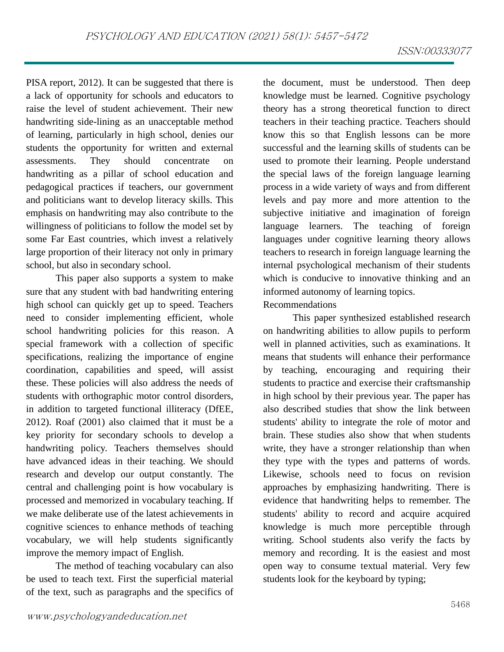PISA report, 2012). It can be suggested that there is a lack of opportunity for schools and educators to raise the level of student achievement. Their new handwriting side-lining as an unacceptable method of learning, particularly in high school, denies our students the opportunity for written and external assessments. They should concentrate on handwriting as a pillar of school education and pedagogical practices if teachers, our government and politicians want to develop literacy skills. This emphasis on handwriting may also contribute to the willingness of politicians to follow the model set by some Far East countries, which invest a relatively large proportion of their literacy not only in primary school, but also in secondary school.

This paper also supports a system to make sure that any student with bad handwriting entering high school can quickly get up to speed. Teachers need to consider implementing efficient, whole school handwriting policies for this reason. A special framework with a collection of specific specifications, realizing the importance of engine coordination, capabilities and speed, will assist these. These policies will also address the needs of students with orthographic motor control disorders, in addition to targeted functional illiteracy (DfEE, 2012). Roaf (2001) also claimed that it must be a key priority for secondary schools to develop a handwriting policy. Teachers themselves should have advanced ideas in their teaching. We should research and develop our output constantly. The central and challenging point is how vocabulary is processed and memorized in vocabulary teaching. If we make deliberate use of the latest achievements in cognitive sciences to enhance methods of teaching vocabulary, we will help students significantly improve the memory impact of English.

The method of teaching vocabulary can also be used to teach text. First the superficial material of the text, such as paragraphs and the specifics of

the document, must be understood. Then deep knowledge must be learned. Cognitive psychology theory has a strong theoretical function to direct teachers in their teaching practice. Teachers should know this so that English lessons can be more successful and the learning skills of students can be used to promote their learning. People understand the special laws of the foreign language learning process in a wide variety of ways and from different levels and pay more and more attention to the subjective initiative and imagination of foreign language learners. The teaching of foreign languages under cognitive learning theory allows teachers to research in foreign language learning the internal psychological mechanism of their students which is conducive to innovative thinking and an informed autonomy of learning topics. Recommendations

## This paper synthesized established research on handwriting abilities to allow pupils to perform well in planned activities, such as examinations. It means that students will enhance their performance by teaching, encouraging and requiring their students to practice and exercise their craftsmanship in high school by their previous year. The paper has also described studies that show the link between students' ability to integrate the role of motor and brain. These studies also show that when students write, they have a stronger relationship than when they type with the types and patterns of words. Likewise, schools need to focus on revision approaches by emphasizing handwriting. There is evidence that handwriting helps to remember. The students' ability to record and acquire acquired knowledge is much more perceptible through writing. School students also verify the facts by memory and recording. It is the easiest and most open way to consume textual material. Very few students look for the keyboard by typing;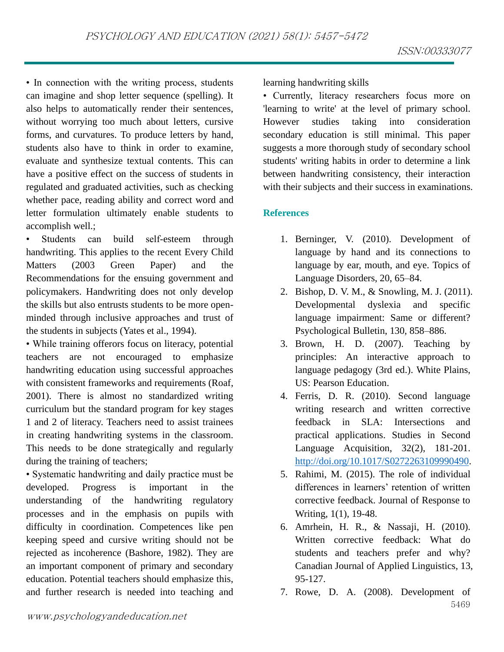• In connection with the writing process, students can imagine and shop letter sequence (spelling). It also helps to automatically render their sentences, without worrying too much about letters, cursive forms, and curvatures. To produce letters by hand, students also have to think in order to examine, evaluate and synthesize textual contents. This can have a positive effect on the success of students in regulated and graduated activities, such as checking whether pace, reading ability and correct word and letter formulation ultimately enable students to accomplish well.;

• Students can build self-esteem through handwriting. This applies to the recent Every Child Matters (2003 Green Paper) and the Recommendations for the ensuing government and policymakers. Handwriting does not only develop the skills but also entrusts students to be more openminded through inclusive approaches and trust of the students in subjects (Yates et al., 1994).

• While training offerors focus on literacy, potential teachers are not encouraged to emphasize handwriting education using successful approaches with consistent frameworks and requirements (Roaf, 2001). There is almost no standardized writing curriculum but the standard program for key stages 1 and 2 of literacy. Teachers need to assist trainees in creating handwriting systems in the classroom. This needs to be done strategically and regularly during the training of teachers;

• Systematic handwriting and daily practice must be developed. Progress is important in the understanding of the handwriting regulatory processes and in the emphasis on pupils with difficulty in coordination. Competences like pen keeping speed and cursive writing should not be rejected as incoherence (Bashore, 1982). They are an important component of primary and secondary education. Potential teachers should emphasize this, and further research is needed into teaching and

learning handwriting skills

• Currently, literacy researchers focus more on 'learning to write' at the level of primary school. However studies taking into consideration secondary education is still minimal. This paper suggests a more thorough study of secondary school students' writing habits in order to determine a link between handwriting consistency, their interaction with their subjects and their success in examinations.

## **References**

- 1. Berninger, V. (2010). Development of language by hand and its connections to language by ear, mouth, and eye. Topics of Language Disorders, 20, 65–84.
- 2. Bishop, D. V. M., & Snowling, M. J. (2011). Developmental dyslexia and specific language impairment: Same or different? Psychological Bulletin, 130, 858–886.
- 3. Brown, H. D. (2007). Teaching by principles: An interactive approach to language pedagogy (3rd ed.). White Plains, US: Pearson Education.
- 4. Ferris, D. R. (2010). Second language writing research and written corrective feedback in SLA: Intersections and practical applications. Studies in Second Language Acquisition, 32(2), 181-201. [http://doi.org/10.1017/S0272263109990490.](http://doi.org/10.1017/S0272263109990490)
- 5. Rahimi, M. (2015). The role of individual differences in learners' retention of written corrective feedback. Journal of Response to Writing, 1(1), 19-48.
- 6. Amrhein, H. R., & Nassaji, H. (2010). Written corrective feedback: What do students and teachers prefer and why? Canadian Journal of Applied Linguistics, 13, 95-127.
- 5469 7. Rowe, D. A. (2008). Development of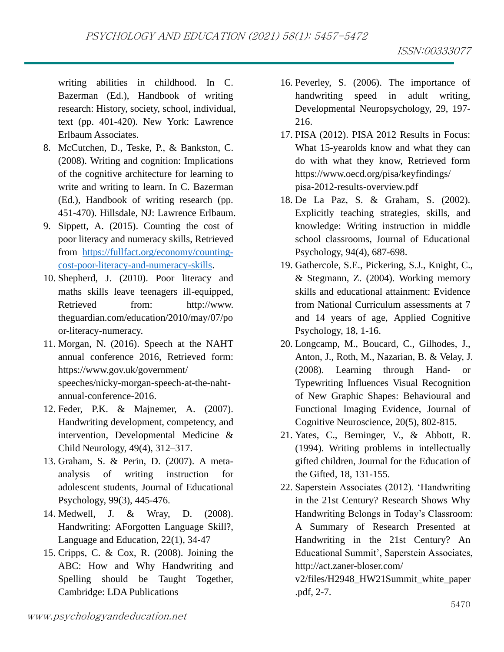writing abilities in childhood. In C. Bazerman (Ed.), Handbook of writing research: History, society, school, individual, text (pp. 401-420). New York: Lawrence Erlbaum Associates.

- 8. McCutchen, D., Teske, P., & Bankston, C. (2008). Writing and cognition: Implications of the cognitive architecture for learning to write and writing to learn. In C. Bazerman (Ed.), Handbook of writing research (pp. 451-470). Hillsdale, NJ: Lawrence Erlbaum.
- 9. Sippett, A. (2015). Counting the cost of poor literacy and numeracy skills, Retrieved from [https://fullfact.org/economy/counting](https://fullfact.org/economy/counting-cost-poor-literacy-and-numeracy-skills)[cost-poor-literacy-and-numeracy-skills.](https://fullfact.org/economy/counting-cost-poor-literacy-and-numeracy-skills)
- 10. Shepherd, J. (2010). Poor literacy and maths skills leave teenagers ill-equipped, Retrieved from: http://www. theguardian.com/education/2010/may/07/po or-literacy-numeracy.
- 11. Morgan, N. (2016). Speech at the NAHT annual conference 2016, Retrieved form: https://www.gov.uk/government/ speeches/nicky-morgan-speech-at-the-nahtannual-conference-2016.
- 12. Feder, P.K. & Majnemer, A. (2007). Handwriting development, competency, and intervention, Developmental Medicine & Child Neurology, 49(4), 312–317.
- 13. Graham, S. & Perin, D. (2007). A metaanalysis of writing instruction for adolescent students, Journal of Educational Psychology, 99(3), 445-476.
- 14. Medwell, J. & Wray, D. (2008). Handwriting: AForgotten Language Skill?, Language and Education, 22(1), 34-47
- 15. Cripps, C. & Cox, R. (2008). Joining the ABC: How and Why Handwriting and Spelling should be Taught Together, Cambridge: LDA Publications
- 16. Peverley, S. (2006). The importance of handwriting speed in adult writing, Developmental Neuropsychology, 29, 197- 216.
- 17. PISA (2012). PISA 2012 Results in Focus: What 15-yearolds know and what they can do with what they know, Retrieved form https://www.oecd.org/pisa/keyfindings/ pisa-2012-results-overview.pdf
- 18. De La Paz, S. & Graham, S. (2002). Explicitly teaching strategies, skills, and knowledge: Writing instruction in middle school classrooms, Journal of Educational Psychology, 94(4), 687-698.
- 19. Gathercole, S.E., Pickering, S.J., Knight, C., & Stegmann, Z. (2004). Working memory skills and educational attainment: Evidence from National Curriculum assessments at 7 and 14 years of age, Applied Cognitive Psychology, 18, 1-16.
- 20. Longcamp, M., Boucard, C., Gilhodes, J., Anton, J., Roth, M., Nazarian, B. & Velay, J. (2008). Learning through Hand- or Typewriting Influences Visual Recognition of New Graphic Shapes: Behavioural and Functional Imaging Evidence, Journal of Cognitive Neuroscience, 20(5), 802-815.
- 21. Yates, C., Berninger, V., & Abbott, R. (1994). Writing problems in intellectually gifted children, Journal for the Education of the Gifted, 18, 131-155.
- 22. Saperstein Associates (2012). 'Handwriting in the 21st Century? Research Shows Why Handwriting Belongs in Today's Classroom: A Summary of Research Presented at Handwriting in the 21st Century? An Educational Summit', Saperstein Associates, http://act.zaner-bloser.com/

v2/files/H2948\_HW21Summit\_white\_paper .pdf, 2-7.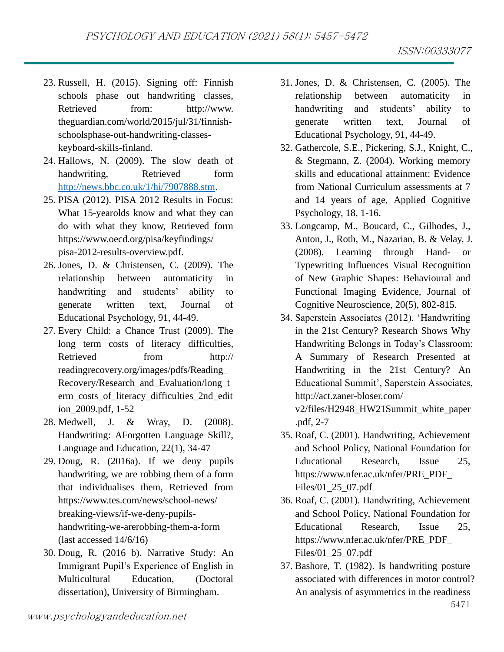- 23. Russell, H. (2015). Signing off: Finnish schools phase out handwriting classes, Retrieved from: http://www. theguardian.com/world/2015/jul/31/finnishschoolsphase-out-handwriting-classes-
- 24. Hallows, N. (2009). The slow death of handwriting, Retrieved form [http://news.bbc.co.uk/1/hi/7907888.stm.](http://news.bbc.co.uk/1/hi/7907888.stm)

keyboard-skills-finland.

- 25. PISA (2012). PISA 2012 Results in Focus: What 15-yearolds know and what they can do with what they know, Retrieved form https://www.oecd.org/pisa/keyfindings/ pisa-2012-results-overview.pdf.
- 26. Jones, D. & Christensen, C. (2009). The relationship between automaticity in handwriting and students' ability to generate written text, Journal of Educational Psychology, 91, 44-49.
- 27. Every Child: a Chance Trust (2009). The long term costs of literacy difficulties, Retrieved from http:// readingrecovery.org/images/pdfs/Reading\_ Recovery/Research\_and\_Evaluation/long\_t erm\_costs\_of\_literacy\_difficulties\_2nd\_edit ion\_2009.pdf, 1-52
- 28. Medwell, J. & Wray, D. (2008). Handwriting: AForgotten Language Skill?, Language and Education, 22(1), 34-47
- 29. Doug, R. (2016a). If we deny pupils handwriting, we are robbing them of a form that individualises them, Retrieved from https://www.tes.com/news/school-news/ breaking-views/if-we-deny-pupilshandwriting-we-arerobbing-them-a-form (last accessed 14/6/16)
- 30. Doug, R. (2016 b). Narrative Study: An Immigrant Pupil's Experience of English in Multicultural Education, (Doctoral dissertation), University of Birmingham.
- 31. Jones, D. & Christensen, C. (2005). The relationship between automaticity in handwriting and students' ability to generate written text, Journal of Educational Psychology, 91, 44-49.
- 32. Gathercole, S.E., Pickering, S.J., Knight, C., & Stegmann, Z. (2004). Working memory skills and educational attainment: Evidence from National Curriculum assessments at 7 and 14 years of age, Applied Cognitive Psychology, 18, 1-16.
- 33. Longcamp, M., Boucard, C., Gilhodes, J., Anton, J., Roth, M., Nazarian, B. & Velay, J. (2008). Learning through Hand- or Typewriting Influences Visual Recognition of New Graphic Shapes: Behavioural and Functional Imaging Evidence, Journal of Cognitive Neuroscience, 20(5), 802-815.
- 34. Saperstein Associates (2012). 'Handwriting in the 21st Century? Research Shows Why Handwriting Belongs in Today's Classroom: A Summary of Research Presented at Handwriting in the 21st Century? An Educational Summit', Saperstein Associates, http://act.zaner-bloser.com/

v2/files/H2948\_HW21Summit\_white\_paper .pdf, 2-7

- 35. Roaf, C. (2001). Handwriting, Achievement and School Policy, National Foundation for Educational Research, Issue 25, https://www.nfer.ac.uk/nfer/PRE\_PDF\_ Files/01\_25\_07.pdf
- 36. Roaf, C. (2001). Handwriting, Achievement and School Policy, National Foundation for Educational Research, Issue 25, https://www.nfer.ac.uk/nfer/PRE\_PDF\_ Files/01\_25\_07.pdf
- 37. Bashore, T. (1982). Is handwriting posture associated with differences in motor control? An analysis of asymmetrics in the readiness